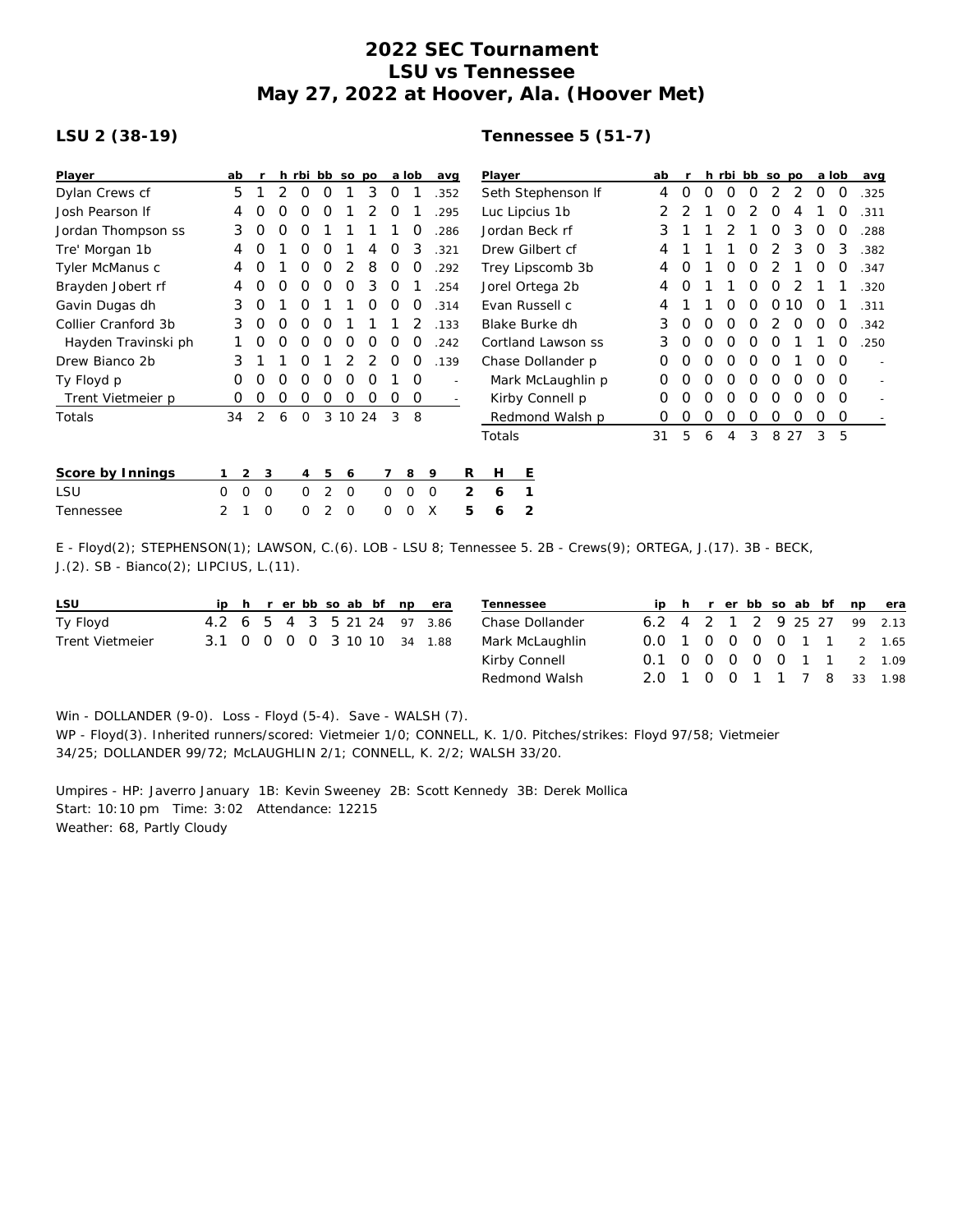## **2022 SEC Tournament LSU vs Tennessee May 27, 2022 at Hoover, Ala. (Hoover Met)**

## **LSU 2 (38-19)**

## **Tennessee 5 (51-7)**

| Player              | ab       |                  |                  |                  |          | h rbi bb so po |   |             | a lob       | avg     |   | Player             |                   |   | ab |   |   |   | h rbi bb so po |    |          | a lob    |                          | avg  |
|---------------------|----------|------------------|------------------|------------------|----------|----------------|---|-------------|-------------|---------|---|--------------------|-------------------|---|----|---|---|---|----------------|----|----------|----------|--------------------------|------|
| Dylan Crews cf      | 5        |                  |                  | $\Omega$         | 0        |                | 3 | 0           |             | .352    |   | Seth Stephenson If |                   |   |    | 0 | Ο | 0 | 0              |    | 2        | 0        | 0                        | .325 |
| Josh Pearson If     | 4        |                  |                  |                  | $\Omega$ |                |   | O           |             | 295     |   | Luc Lipcius 1b     |                   |   |    |   |   | 0 |                | O  | 4        |          | O                        | .311 |
| Jordan Thompson ss  | 3        | $\left($ )       |                  |                  |          |                |   |             |             | 286     |   | Jordan Beck rf     |                   | 3 |    |   |   |   | Ο              | 3  | O        | O        | 288                      |      |
| Tre' Morgan 1b      | 4        |                  |                  | O                | O        |                |   | O           | 3           | 321     |   | Drew Gilbert cf    |                   |   |    |   |   |   | Ο              | 2  | 3        | 0        | 3                        | .382 |
| Tyler McManus c     | 4        | $\left($         |                  | 0                | O        |                | 8 | 0           | 0           | 292     |   | Trey Lipscomb 3b   |                   |   |    | 0 |   | 0 | 0              |    |          | 0        | 0                        | .347 |
| Brayden Jobert rf   | 4        | $\left( \right)$ | $\left( \right)$ | O                | $\Omega$ | $\Omega$       | 3 | O           |             | 254     |   |                    | Jorel Ortega 2b   |   | 4  | Ο |   |   | 0              | O  | 2        |          |                          | .320 |
| Gavin Dugas dh      | 3        | O                |                  | $\Omega$         |          |                | O | $\Omega$    | O           | .314    |   | Evan Russell c     |                   | 4 |    |   | O | Ο | O              | 10 | $\Omega$ |          | .311                     |      |
| Collier Cranford 3b | 3        | $\Omega$         | O                | O                | $\Omega$ |                |   |             |             | .133    |   | Blake Burke dh     |                   | 3 | Ο  | Ο | O | Ο |                | O  | O        | O        | .342                     |      |
| Hayden Travinski ph |          | O                | $\left( \right)$ | $\left( \right)$ | $\Omega$ | O              | O | O           | $\Omega$    | .242    |   | Cortland Lawson ss |                   |   |    | Ο | Ο | O | Ο              | O  |          |          | 0                        | .250 |
| Drew Bianco 2b      | 3        |                  |                  | $\left($ )       |          |                |   | $\Omega$    | $\Omega$    | .139    |   | Chase Dollander p  |                   | 0 | 0  | Ο | 0 | O | O              |    | 0        | $\Omega$ | $\overline{\phantom{a}}$ |      |
| Ty Floyd p          | Ο        |                  |                  |                  |          |                |   |             | $\Omega$    |         |   |                    | Mark McLaughlin p | 0 |    | Ο | 0 | 0 | O              | O  | Ω        | $\Omega$ | $\overline{a}$           |      |
| Trent Vietmeier p   | 0        | O                | O                | O                | $\Omega$ | 0              | O | $\Omega$    | 0           |         |   | Kirby Connell p    |                   | 0 | ი  | Ο | O | 0 | Ο              | O  | Ω        | $\Omega$ |                          |      |
| Totals              | 34       | 2                | 6                | $\Omega$         |          | 3 10 24        |   | 3           | -8          |         |   |                    | Redmond Walsh p   |   | 0  | O | 0 | 0 | 0              | 0  | O        | O        | 0                        |      |
|                     |          |                  |                  |                  |          |                |   |             |             |         |   | Totals             |                   |   | 31 | 5 | 6 | 4 | 3              |    | 8 2 7    | 3        | 5                        |      |
| Score by Innings    |          | $\overline{2}$   | 3                | $\overline{4}$   | 5        | 6              |   |             | 8           | 9       | R | Н                  | Е                 |   |    |   |   |   |                |    |          |          |                          |      |
| LSU                 | $\Omega$ | 0                | 0                | $\Omega$         | 2        | $\circ$        |   | $\Omega$    | $\mathbf 0$ | $\circ$ | 2 | 6                  |                   |   |    |   |   |   |                |    |          |          |                          |      |
| Tennessee           | 2        |                  | 0                | 0                | 2        | $\mathbf 0$    |   | $\mathbf 0$ | 0           | X       | 5 | 6                  | $\overline{2}$    |   |    |   |   |   |                |    |          |          |                          |      |

E - Floyd(2); STEPHENSON(1); LAWSON, C.(6). LOB - LSU 8; Tennessee 5. 2B - Crews(9); ORTEGA, J.(17). 3B - BECK, J.(2). SB - Bianco(2); LIPCIUS, L.(11).

| LSU             |                             |  |  |  |  | ip h r er bb so ab bf np era |
|-----------------|-----------------------------|--|--|--|--|------------------------------|
| Ty Floyd        |                             |  |  |  |  | 4.2 6 5 4 3 5 21 24 97 3.86  |
| Trent Vietmeier | 3.1 0 0 0 0 3 10 10 34 1.88 |  |  |  |  |                              |

| Tennessee       |  |  |  |  | ip h r er bb so ab bf np era |
|-----------------|--|--|--|--|------------------------------|
| Chase Dollander |  |  |  |  | 6.2 4 2 1 2 9 25 27 99 2.13  |
| Mark McLaughlin |  |  |  |  | 0.0 1 0 0 0 0 1 1 2 1.65     |
| Kirby Connell   |  |  |  |  | 0.1 0 0 0 0 0 1 1 2 1.09     |
| Redmond Walsh   |  |  |  |  | 2.0 1 0 0 1 1 7 8 33 1.98    |

Win - DOLLANDER (9-0). Loss - Floyd (5-4). Save - WALSH (7). WP - Floyd(3). Inherited runners/scored: Vietmeier 1/0; CONNELL, K. 1/0. Pitches/strikes: Floyd 97/58; Vietmeier 34/25; DOLLANDER 99/72; McLAUGHLIN 2/1; CONNELL, K. 2/2; WALSH 33/20.

Umpires - HP: Javerro January 1B: Kevin Sweeney 2B: Scott Kennedy 3B: Derek Mollica Start: 10:10 pm Time: 3:02 Attendance: 12215 Weather: 68, Partly Cloudy